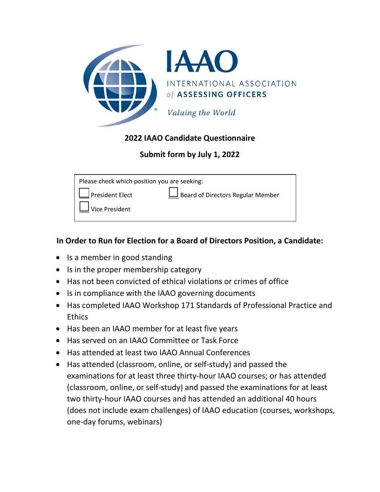

## **2022 IAAO Candidate Questionnaire**

# **Submit form by July 1, 2022**

| Please check which position you are seeking: |                                   |  |
|----------------------------------------------|-----------------------------------|--|
| President Elect                              | Board of Directors Regular Member |  |
| $\Box$ Vice President                        |                                   |  |
|                                              |                                   |  |

## **In Order to Run for Election for a Board of Directors Position, a Candidate:**

- Is a member in good standing
- Is in the proper membership category
- Has not been convicted of ethical violations or crimes of office
- Is in compliance with the IAAO governing documents
- Has completed IAAO Workshop 171 Standards of Professional Practice and **Ethics**
- Has been an IAAO member for at least five years
- Has served on an IAAO Committee or Task Force
- Has attended at least two IAAO Annual Conferences
- Has attended (classroom, online, or self-study) and passed the examinations for at least three thirty-hour IAAO courses; or has attended (classroom, online, or self-study) and passed the examinations for at least two thirty-hour IAAO courses and has attended an additional 40 hours (does not include exam challenges) of IAAO education (courses, workshops, one-day forums, webinars)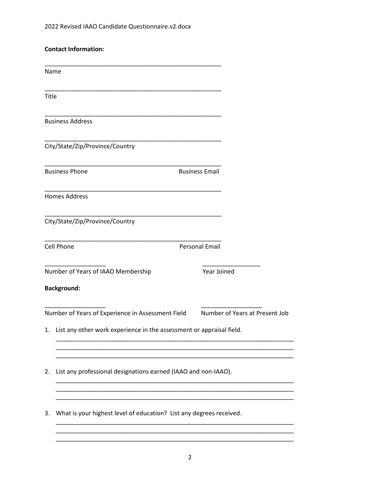|       | <b>Contact Information:</b>                                          |                       |                                |
|-------|----------------------------------------------------------------------|-----------------------|--------------------------------|
|       | Name                                                                 |                       |                                |
| Title |                                                                      |                       |                                |
|       | <b>Business Address</b>                                              |                       |                                |
|       | City/State/Zip/Province/Country                                      |                       |                                |
|       | <b>Business Phone</b>                                                | <b>Business Email</b> |                                |
|       | <b>Homes Address</b>                                                 |                       |                                |
|       | City/State/Zip/Province/Country                                      |                       |                                |
|       | <b>Cell Phone</b>                                                    | <b>Personal Email</b> |                                |
|       | Number of Years of IAAO Membership                                   | Year Joined           |                                |
|       | <b>Background:</b>                                                   |                       |                                |
|       | Number of Years of Experience in Assessment Field                    |                       | Number of Years at Present Job |
| 1.    | List any other work experience in the assessment or appraisal field. |                       |                                |
|       |                                                                      |                       |                                |
| 2.    | List any professional designations earned (IAAO and non-IAAO).       |                       |                                |
| 3.    | What is your highest level of education? List any degrees received.  |                       |                                |
|       |                                                                      |                       |                                |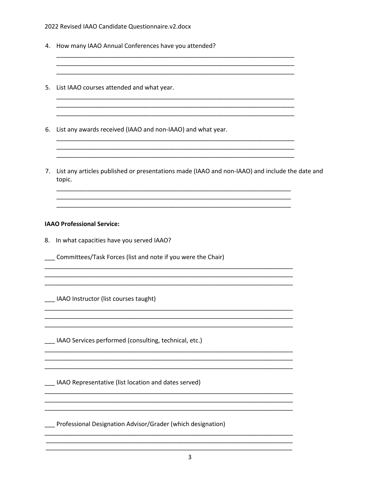#### 2022 Revised IAAO Candidate Questionnaire.v2.docx

- 4. How many IAAO Annual Conferences have you attended?
- 5. List IAAO courses attended and what year.
- 6. List any awards received (IAAO and non-IAAO) and what year.
- 7. List any articles published or presentations made (IAAO and non-IAAO) and include the date and topic.

#### **IAAO Professional Service:**

- 8. In what capacities have you served IAAO?
- \_\_\_ Committees/Task Forces (list and note if you were the Chair)

IAAO Instructor (list courses taught)

\_\_\_ IAAO Services performed (consulting, technical, etc.)

\_\_ IAAO Representative (list location and dates served)

Professional Designation Advisor/Grader (which designation)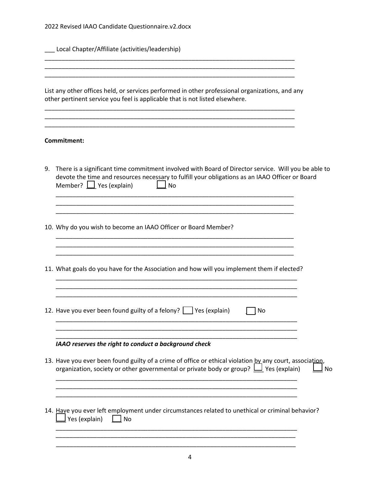|  |  | 2022 Revised IAAO Candidate Questionnaire.v2.docx |
|--|--|---------------------------------------------------|
|--|--|---------------------------------------------------|

\_\_\_ Local Chapter/Affiliate (activities/leadership)

List any other offices held, or services performed in other professional organizations, and any other pertinent service you feel is applicable that is not listed elsewhere.

\_\_\_\_\_\_\_\_\_\_\_\_\_\_\_\_\_\_\_\_\_\_\_\_\_\_\_\_\_\_\_\_\_\_\_\_\_\_\_\_\_\_\_\_\_\_\_\_\_\_\_\_\_\_\_\_\_\_\_\_\_\_\_\_\_\_\_\_\_\_\_\_\_ \_\_\_\_\_\_\_\_\_\_\_\_\_\_\_\_\_\_\_\_\_\_\_\_\_\_\_\_\_\_\_\_\_\_\_\_\_\_\_\_\_\_\_\_\_\_\_\_\_\_\_\_\_\_\_\_\_\_\_\_\_\_\_\_\_\_\_\_\_\_\_\_\_

\_\_\_\_\_\_\_\_\_\_\_\_\_\_\_\_\_\_\_\_\_\_\_\_\_\_\_\_\_\_\_\_\_\_\_\_\_\_\_\_\_\_\_\_\_\_\_\_\_\_\_\_\_\_\_\_\_\_\_\_\_\_\_\_\_\_\_\_\_\_\_\_\_

\_\_\_\_\_\_\_\_\_\_\_\_\_\_\_\_\_\_\_\_\_\_\_\_\_\_\_\_\_\_\_\_\_\_\_\_\_\_\_\_\_\_\_\_\_\_\_\_\_\_\_\_\_\_\_\_\_\_\_\_\_\_\_\_\_\_\_\_\_\_\_\_\_

\_\_\_\_\_\_\_\_\_\_\_\_\_\_\_\_\_\_\_\_\_\_\_\_\_\_\_\_\_\_\_\_\_\_\_\_\_\_\_\_\_\_\_\_\_\_\_\_\_\_\_\_\_\_\_\_\_\_\_\_\_\_\_\_\_\_\_\_\_\_\_\_\_

\_\_\_\_\_\_\_\_\_\_\_\_\_\_\_\_\_\_\_\_\_\_\_\_\_\_\_\_\_\_\_\_\_\_\_\_\_\_\_\_\_\_\_\_\_\_\_\_\_\_\_\_\_\_\_\_\_\_\_\_\_\_\_\_\_\_\_\_\_\_\_\_\_

### **Commitment:**

- 9. There is a significant time commitment involved with Board of Director service. Will you be able to devote the time and resources necessary to fulfill your obligations as an IAAO Officer or Board Member?  $\Box$  Yes (explain)  $\Box$  No \_\_\_\_\_\_\_\_\_\_\_\_\_\_\_\_\_\_\_\_\_\_\_\_\_\_\_\_\_\_\_\_\_\_\_\_\_\_\_\_\_\_\_\_\_\_\_\_\_\_\_\_\_\_\_\_\_\_\_\_\_\_\_\_\_\_\_\_\_\_
- 10. Why do you wish to become an IAAO Officer or Board Member?
- 11. What goals do you have for the Association and how will you implement them if elected? \_\_\_\_\_\_\_\_\_\_\_\_\_\_\_\_\_\_\_\_\_\_\_\_\_\_\_\_\_\_\_\_\_\_\_\_\_\_\_\_\_\_\_\_\_\_\_\_\_\_\_\_\_\_\_\_\_\_\_\_\_\_\_\_\_\_\_\_\_\_\_

\_\_\_\_\_\_\_\_\_\_\_\_\_\_\_\_\_\_\_\_\_\_\_\_\_\_\_\_\_\_\_\_\_\_\_\_\_\_\_\_\_\_\_\_\_\_\_\_\_\_\_\_\_\_\_\_\_\_\_\_\_\_\_\_\_\_\_\_\_\_\_ \_\_\_\_\_\_\_\_\_\_\_\_\_\_\_\_\_\_\_\_\_\_\_\_\_\_\_\_\_\_\_\_\_\_\_\_\_\_\_\_\_\_\_\_\_\_\_\_\_\_\_\_\_\_\_\_\_\_\_\_\_\_\_\_\_\_\_\_\_\_\_

\_\_\_\_\_\_\_\_\_\_\_\_\_\_\_\_\_\_\_\_\_\_\_\_\_\_\_\_\_\_\_\_\_\_\_\_\_\_\_\_\_\_\_\_\_\_\_\_\_\_\_\_\_\_\_\_\_\_\_\_\_\_\_\_\_\_\_\_\_\_\_ \_\_\_\_\_\_\_\_\_\_\_\_\_\_\_\_\_\_\_\_\_\_\_\_\_\_\_\_\_\_\_\_\_\_\_\_\_\_\_\_\_\_\_\_\_\_\_\_\_\_\_\_\_\_\_\_\_\_\_\_\_\_\_\_\_\_\_\_\_\_\_ \_\_\_\_\_\_\_\_\_\_\_\_\_\_\_\_\_\_\_\_\_\_\_\_\_\_\_\_\_\_\_\_\_\_\_\_\_\_\_\_\_\_\_\_\_\_\_\_\_\_\_\_\_\_\_\_\_\_\_\_\_\_\_\_\_\_\_\_\_\_\_

\_\_\_\_\_\_\_\_\_\_\_\_\_\_\_\_\_\_\_\_\_\_\_\_\_\_\_\_\_\_\_\_\_\_\_\_\_\_\_\_\_\_\_\_\_\_\_\_\_\_\_\_\_\_\_\_\_\_\_\_\_\_\_\_\_\_\_\_\_\_\_

\_\_\_\_\_\_\_\_\_\_\_\_\_\_\_\_\_\_\_\_\_\_\_\_\_\_\_\_\_\_\_\_\_\_\_\_\_\_\_\_\_\_\_\_\_\_\_\_\_\_\_\_\_\_\_\_\_\_\_\_\_\_\_\_\_\_\_\_\_\_ \_\_\_\_\_\_\_\_\_\_\_\_\_\_\_\_\_\_\_\_\_\_\_\_\_\_\_\_\_\_\_\_\_\_\_\_\_\_\_\_\_\_\_\_\_\_\_\_\_\_\_\_\_\_\_\_\_\_\_\_\_\_\_\_\_\_\_\_\_\_ \_\_\_\_\_\_\_\_\_\_\_\_\_\_\_\_\_\_\_\_\_\_\_\_\_\_\_\_\_\_\_\_\_\_\_\_\_\_\_\_\_\_\_\_\_\_\_\_\_\_\_\_\_\_\_\_\_\_\_\_\_\_\_\_\_\_\_\_\_\_

\_\_\_\_\_\_\_\_\_\_\_\_\_\_\_\_\_\_\_\_\_\_\_\_\_\_\_\_\_\_\_\_\_\_\_\_\_\_\_\_\_\_\_\_\_\_\_\_\_\_\_\_\_\_\_\_\_\_\_\_\_\_\_\_\_\_\_\_\_\_ \_\_\_\_\_\_\_\_\_\_\_\_\_\_\_\_\_\_\_\_\_\_\_\_\_\_\_\_\_\_\_\_\_\_\_\_\_\_\_\_\_\_\_\_\_\_\_\_\_\_\_\_\_\_\_\_\_\_\_\_\_\_\_\_\_\_\_\_\_\_

12. Have you ever been found guilty of a felony?  $\Box$  Yes (explain)  $\Box$  No

#### *IAAO reserves the right to conduct a background check*

- 13. Have you ever been found guilty of a crime of office or ethical violation by any court, association,<br>organization. society or other governmental or private body or group?  $\Box$  Yes (explain)  $\Box$  No organization, society or other governmental or private body or group?  $\Box$  Yes (explain)
- 14. Have you ever left employment under circumstances related to unethical or criminal behavior?  $\Box$  Yes (explain)  $\Box$  No

\_\_\_\_\_\_\_\_\_\_\_\_\_\_\_\_\_\_\_\_\_\_\_\_\_\_\_\_\_\_\_\_\_\_\_\_\_\_\_\_\_\_\_\_\_\_\_\_\_\_\_\_\_\_\_\_\_\_\_\_\_\_\_\_\_\_\_\_\_\_\_ \_\_\_\_\_\_\_\_\_\_\_\_\_\_\_\_\_\_\_\_\_\_\_\_\_\_\_\_\_\_\_\_\_\_\_\_\_\_\_\_\_\_\_\_\_\_\_\_\_\_\_\_\_\_\_\_\_\_\_\_\_\_\_\_\_\_\_\_\_\_ \_\_\_\_\_\_\_\_\_\_\_\_\_\_\_\_\_\_\_\_\_\_\_\_\_\_\_\_\_\_\_\_\_\_\_\_\_\_\_\_\_\_\_\_\_\_\_\_\_\_\_\_\_\_\_\_\_\_\_\_\_\_\_\_\_\_\_\_\_\_

\_\_\_\_\_\_\_\_\_\_\_\_\_\_\_\_\_\_\_\_\_\_\_\_\_\_\_\_\_\_\_\_\_\_\_\_\_\_\_\_\_\_\_\_\_\_\_\_\_\_\_\_\_\_\_\_\_\_\_\_\_\_\_\_\_\_\_\_\_\_\_ \_\_\_\_\_\_\_\_\_\_\_\_\_\_\_\_\_\_\_\_\_\_\_\_\_\_\_\_\_\_\_\_\_\_\_\_\_\_\_\_\_\_\_\_\_\_\_\_\_\_\_\_\_\_\_\_\_\_\_\_\_\_\_\_\_\_\_\_\_\_\_